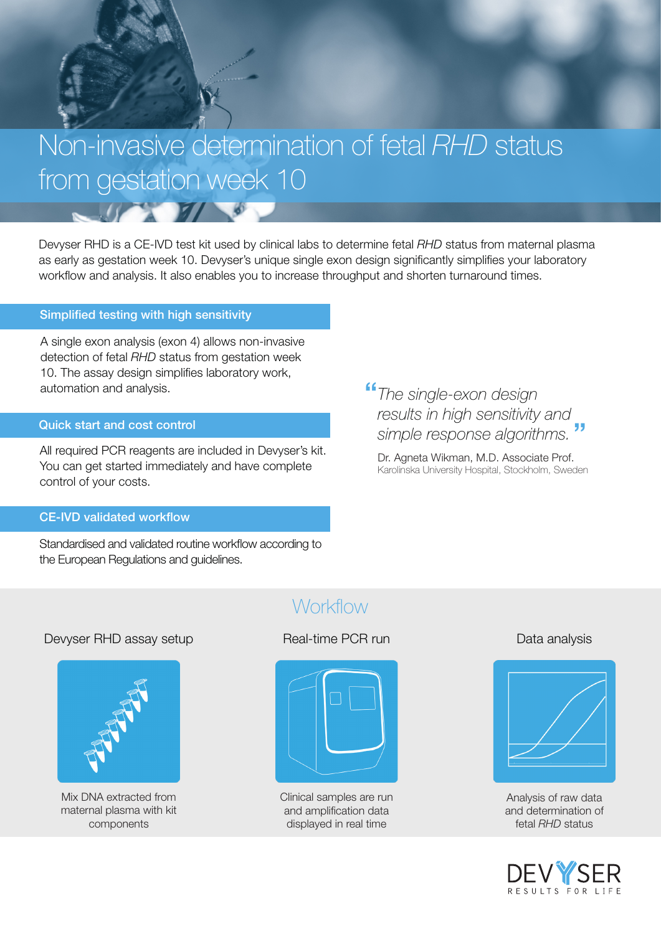# Non-invasive determination of fetal *RHD* status from gestation week 10

Devyser RHD is a CE-IVD test kit used by clinical labs to determine fetal *RHD* status from maternal plasma as early as gestation week 10. Devyser's unique single exon design significantly simplifies your laboratory workflow and analysis. It also enables you to increase throughput and shorten turnaround times.

## Simplified testing with high sensitivity

A single exon analysis (exon 4) allows non-invasive detection of fetal *RHD* status from gestation week 10. The assay design simplifies laboratory work, automation and analysis.

 $\frac{1}{2}$ 

## Quick start and cost control

All required PCR reagents are included in Devyser's kit. You can get started immediately and have complete control of your costs.

## CE-IVD validated workflow

Standardised and validated routine workflow according to the European Regulations and guidelines.

*The single-exon design results in high sensitivity and simple response algorithms.* .<br>" "

Dr. Agneta Wikman, M.D. Associate Prof. Karolinska University Hospital, Stockholm, Sweden

## **Workflow**

## Devyser RHD assay setup **Real-time PCR run** Data analysis **Data analysis**



Mix DNA extracted from maternal plasma with kit components



Clinical samples are run and amplification data displayed in real time



Analysis of raw data and determination of fetal *RHD* status